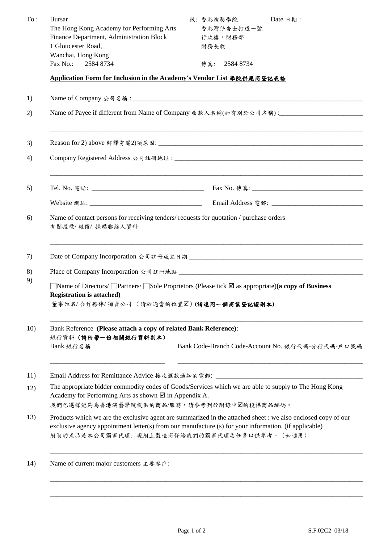| To: | <b>Bursar</b><br>The Hong Kong Academy for Performing Arts<br>Finance Department, Administration Block<br>1 Gloucester Road,                                                                                                                                         | 致:香港演藝學院<br>香港灣仔告士打道一號<br>行政樓,財務部<br>財務長收 | Date 日期:                                         |  |  |  |
|-----|----------------------------------------------------------------------------------------------------------------------------------------------------------------------------------------------------------------------------------------------------------------------|-------------------------------------------|--------------------------------------------------|--|--|--|
|     | Wanchai, Hong Kong<br>Fax No.: 2584 8734                                                                                                                                                                                                                             | 傳真: 2584 8734                             |                                                  |  |  |  |
|     | Application Form for Inclusion in the Academy's Vendor List 學院供應商登記表格                                                                                                                                                                                                |                                           |                                                  |  |  |  |
| 1)  |                                                                                                                                                                                                                                                                      |                                           |                                                  |  |  |  |
| 2)  | Name of Payee if different from Name of Company 收款人名稱(如有別於公司名稱):<br><u> </u>                                                                                                                                                                                         |                                           |                                                  |  |  |  |
| 3)  |                                                                                                                                                                                                                                                                      |                                           |                                                  |  |  |  |
| 4)  |                                                                                                                                                                                                                                                                      |                                           |                                                  |  |  |  |
| 5)  |                                                                                                                                                                                                                                                                      |                                           |                                                  |  |  |  |
|     |                                                                                                                                                                                                                                                                      |                                           |                                                  |  |  |  |
| 6)  | Name of contact persons for receiving tenders/ requests for quotation / purchase orders<br>有關投標/報價/採購聯絡人資料                                                                                                                                                           |                                           |                                                  |  |  |  |
| 7)  |                                                                                                                                                                                                                                                                      |                                           |                                                  |  |  |  |
|     |                                                                                                                                                                                                                                                                      |                                           |                                                  |  |  |  |
| 9)  | Name of Directors/ Partners/ Sole Proprietors (Please tick $\boxtimes$ as appropriate)(a copy of Business<br><b>Registration is attached)</b><br>董事姓名/合作夥伴/獨資公司 (請於適當的位置図)(請連同一個商業登記證副本)                                                                             |                                           |                                                  |  |  |  |
| 10) | Bank Reference (Please attach a copy of related Bank Reference):<br>銀行資料 (請附帶一份相關銀行資料副本)<br>Bank 銀行名稱                                                                                                                                                                |                                           | Bank Code-Branch Code-Account No. 銀行代碼-分行代碼-戶口號碼 |  |  |  |
| 11) | Email Address for Remittance Advice 接收滙款通知的電郵: __________________________________                                                                                                                                                                                    |                                           |                                                  |  |  |  |
| 12) | The appropriate bidder commodity codes of Goods/Services which we are able to supply to The Hong Kong<br>Academy for Performing Arts as shown $\boxtimes$ in Appendix A.<br>我們已選擇能夠為香港演藝學院提供的商品/服務,請參考列於附錄中図的投標商品編碼。                                                 |                                           |                                                  |  |  |  |
| 13) | Products which we are the exclusive agent are summarized in the attached sheet : we also enclosed copy of our<br>exclusive agency appointment letter(s) from our manufacture (s) for your information. (if applicable)<br>附頁的產品是本公司獨家代理:現附上製造商發給我們的獨家代理委任書以供參考。(如適用) |                                           |                                                  |  |  |  |
| 14) | Name of current major customers 主要客戶:                                                                                                                                                                                                                                |                                           |                                                  |  |  |  |

\_\_\_\_\_\_\_\_\_\_\_\_\_\_\_\_\_\_\_\_\_\_\_\_\_\_\_\_\_\_\_\_\_\_\_\_\_\_\_\_\_\_\_\_\_\_\_\_\_\_\_\_\_\_\_\_\_\_\_\_\_\_\_\_\_\_\_\_\_\_\_\_\_\_\_\_\_\_\_\_\_\_\_\_\_\_\_\_\_\_\_\_\_\_\_\_\_\_\_\_\_\_\_\_\_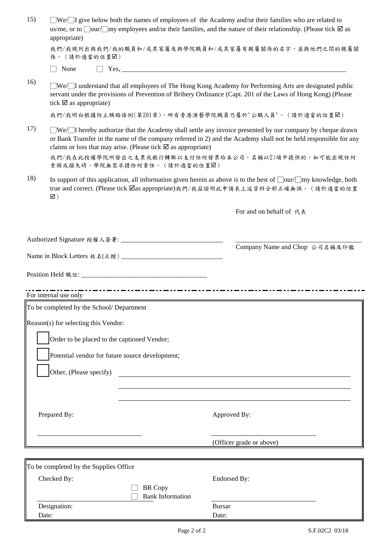| 15) | appropriate)                                                            | $\Box$ We/ $\Box$ I give below both the names of employees of the Academy and/or their families who are related to<br>us/me, or to $\Box$ our/ $\Box$ my employees and/or their families, and the nature of their relationship. (Please tick $\Box$ as |
|-----|-------------------------------------------------------------------------|--------------------------------------------------------------------------------------------------------------------------------------------------------------------------------------------------------------------------------------------------------|
|     | 係。(請於適當的位置図)                                                            | 我們/我現列出與我們/我的職員和/或其家屬及與學院職員和/或其家屬有親屬關係的名字,並與他們之間的親屬關                                                                                                                                                                                                   |
|     | None                                                                    | $\Box$ Yes,                                                                                                                                                                                                                                            |
| 16) | tick $\boxtimes$ as appropriate)                                        | $\sqrt{\text{We}}$ I understand that all employees of The Hong Kong Academy for Performing Arts are designated public<br>servant under the provisions of Prevention of Bribery Ordinance (Capt. 201 of the Laws of Hong Kong) (Please                  |
|     |                                                                         | 我們/我明白根據防止賄賂條例(第201章),所有香港演藝學院職員乃屬於"公職人員"。(請於適當的位置図)                                                                                                                                                                                                   |
| 17) | claims or loss that may arise. (Please tick $\boxtimes$ as appropriate) | $\sqrt{\text{We}}$ I hereby authorize that the Academy shall settle any invoice presented by our company by cheque drawn<br>or Bank Transfer in the name of the company referred in 2) and the Academy shall not be held responsible for any           |
|     | 索賠或損失時,學院無需承擔任何責任。 (請於適當的位置⊠)                                           | 我們/我在此授權學院所發出之支票或銀行轉賑以支付任何發票給本公司,名稱以2)項中提供的,如可能出現任何                                                                                                                                                                                                    |
| 18) | $\boxtimes$ )                                                           | In support of this application, all information given herein as above is to the best of $\Box$ our $\Box$ my knowledge, both<br>true and correct. (Please tick $\Box$ as appropriate)我們/我茲證明此申請表上述資料全部正確無誤。 (請於適當的位置                                   |
|     |                                                                         | For and on behalf of 代表                                                                                                                                                                                                                                |
|     |                                                                         |                                                                                                                                                                                                                                                        |
|     |                                                                         | Company Name and Chop 公司名稱及印鑑                                                                                                                                                                                                                          |
|     |                                                                         |                                                                                                                                                                                                                                                        |
|     |                                                                         |                                                                                                                                                                                                                                                        |
|     | For internal use only                                                   |                                                                                                                                                                                                                                                        |
|     | To be completed by the School/ Department                               |                                                                                                                                                                                                                                                        |
|     | Reason(s) for selecting this Vendor:                                    |                                                                                                                                                                                                                                                        |
|     |                                                                         |                                                                                                                                                                                                                                                        |
|     | Order to be placed to the captioned Vendor;                             |                                                                                                                                                                                                                                                        |
|     | Potential vendor for future source development;                         |                                                                                                                                                                                                                                                        |
|     | Other, (Please specify)                                                 |                                                                                                                                                                                                                                                        |
|     |                                                                         |                                                                                                                                                                                                                                                        |
|     |                                                                         |                                                                                                                                                                                                                                                        |
|     | Prepared By:                                                            | Approved By:                                                                                                                                                                                                                                           |
|     |                                                                         |                                                                                                                                                                                                                                                        |
|     |                                                                         | (Officer grade or above)                                                                                                                                                                                                                               |
|     |                                                                         |                                                                                                                                                                                                                                                        |
|     | To be completed by the Supplies Office                                  |                                                                                                                                                                                                                                                        |
|     | Checked By:                                                             | <b>Endorsed By:</b>                                                                                                                                                                                                                                    |
|     | <b>BR</b> Copy<br><b>Bank Information</b>                               |                                                                                                                                                                                                                                                        |
|     | Designation:                                                            | <b>Bursar</b>                                                                                                                                                                                                                                          |
|     | Date:                                                                   | Date:                                                                                                                                                                                                                                                  |

Date: Date: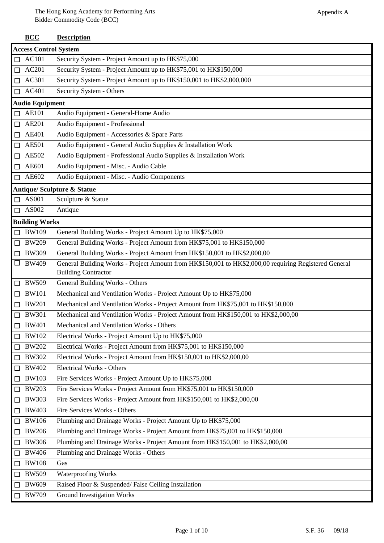|        | <b>BCC</b>                   | <b>Description</b>                                                                                    |  |  |  |
|--------|------------------------------|-------------------------------------------------------------------------------------------------------|--|--|--|
|        | <b>Access Control System</b> |                                                                                                       |  |  |  |
| □      | AC101                        | Security System - Project Amount up to HK\$75,000                                                     |  |  |  |
| □      | AC201                        | Security System - Project Amount up to HK\$75,001 to HK\$150,000                                      |  |  |  |
| $\Box$ | AC301                        | Security System - Project Amount up to HK\$150,001 to HK\$2,000,000                                   |  |  |  |
| $\Box$ | AC401                        | Security System - Others                                                                              |  |  |  |
|        | <b>Audio Equipment</b>       |                                                                                                       |  |  |  |
| □      | <b>AE101</b>                 | Audio Equipment - General-Home Audio                                                                  |  |  |  |
| $\Box$ | AE201                        | Audio Equipment - Professional                                                                        |  |  |  |
| $\Box$ | AE401                        | Audio Equipment - Accessories & Spare Parts                                                           |  |  |  |
| $\Box$ | <b>AE501</b>                 | Audio Equipment - General Audio Supplies & Installation Work                                          |  |  |  |
| $\Box$ | AE502                        | Audio Equipment - Professional Audio Supplies & Installation Work                                     |  |  |  |
| $\Box$ | AE601                        | Audio Equipment - Misc. - Audio Cable                                                                 |  |  |  |
| $\Box$ | AE602                        | Audio Equipment - Misc. - Audio Components                                                            |  |  |  |
|        |                              | <b>Antique/Sculpture &amp; Statue</b>                                                                 |  |  |  |
| □      | AS001                        | Sculpture & Statue                                                                                    |  |  |  |
| $\Box$ | AS002                        | Antique                                                                                               |  |  |  |
|        | <b>Building Works</b>        |                                                                                                       |  |  |  |
| $\Box$ | <b>BW109</b>                 | General Building Works - Project Amount Up to HK\$75,000                                              |  |  |  |
| $\Box$ | <b>BW209</b>                 | General Building Works - Project Amount from HK\$75,001 to HK\$150,000                                |  |  |  |
| $\Box$ | <b>BW309</b>                 | General Building Works - Project Amount from HK\$150,001 to HK\$2,000,00                              |  |  |  |
| $\Box$ | <b>BW409</b>                 | General Building Works - Project Amount from HK\$150,001 to HK\$2,000,00 requiring Registered General |  |  |  |
|        |                              | <b>Building Contractor</b>                                                                            |  |  |  |
| $\Box$ | <b>BW509</b>                 | General Building Works - Others                                                                       |  |  |  |
| □      | <b>BW101</b>                 | Mechanical and Ventilation Works - Project Amount Up to HK\$75,000                                    |  |  |  |
| $\Box$ | <b>BW201</b>                 | Mechanical and Ventilation Works - Project Amount from HK\$75,001 to HK\$150,000                      |  |  |  |
| $\Box$ | <b>BW301</b>                 | Mechanical and Ventilation Works - Project Amount from HK\$150,001 to HK\$2,000,00                    |  |  |  |
| □      | <b>BW401</b>                 | Mechanical and Ventilation Works - Others                                                             |  |  |  |
| □      | <b>BW102</b>                 | Electrical Works - Project Amount Up to HK\$75,000                                                    |  |  |  |
| □      | <b>BW202</b>                 | Electrical Works - Project Amount from HK\$75,001 to HK\$150,000                                      |  |  |  |
| $\Box$ | <b>BW302</b>                 | Electrical Works - Project Amount from HK\$150,001 to HK\$2,000,00                                    |  |  |  |
| □      | <b>BW402</b>                 | <b>Electrical Works - Others</b>                                                                      |  |  |  |
| $\Box$ | <b>BW103</b>                 | Fire Services Works - Project Amount Up to HK\$75,000                                                 |  |  |  |
| □      | <b>BW203</b>                 | Fire Services Works - Project Amount from HK\$75,001 to HK\$150,000                                   |  |  |  |
| □      | <b>BW303</b>                 | Fire Services Works - Project Amount from HK\$150,001 to HK\$2,000,00                                 |  |  |  |
| $\Box$ | <b>BW403</b>                 | Fire Services Works - Others                                                                          |  |  |  |
| $\Box$ | <b>BW106</b>                 | Plumbing and Drainage Works - Project Amount Up to HK\$75,000                                         |  |  |  |
| $\Box$ | <b>BW206</b>                 | Plumbing and Drainage Works - Project Amount from HK\$75,001 to HK\$150,000                           |  |  |  |
| $\Box$ | <b>BW306</b>                 | Plumbing and Drainage Works - Project Amount from HK\$150,001 to HK\$2,000,00                         |  |  |  |
| $\Box$ | <b>BW406</b>                 | Plumbing and Drainage Works - Others                                                                  |  |  |  |
| □      | <b>BW108</b>                 | Gas                                                                                                   |  |  |  |
| □      | <b>BW509</b>                 | <b>Waterproofing Works</b>                                                                            |  |  |  |
| $\Box$ | <b>BW609</b>                 | Raised Floor & Suspended/False Ceiling Installation                                                   |  |  |  |
| $\Box$ | <b>BW709</b>                 | <b>Ground Investigation Works</b>                                                                     |  |  |  |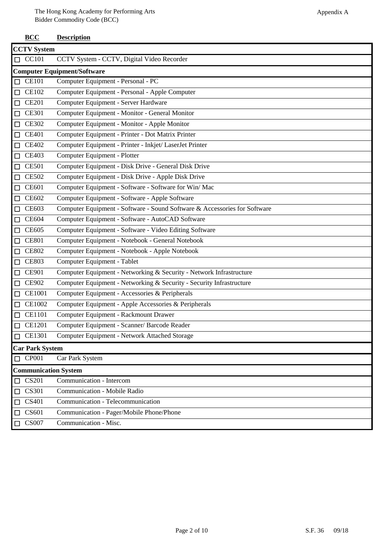**BCC Description**

|        | <b>CCTV System</b>          |                                                                           |  |  |
|--------|-----------------------------|---------------------------------------------------------------------------|--|--|
|        | $\Box$ CC101                | CCTV System - CCTV, Digital Video Recorder                                |  |  |
|        |                             | <b>Computer Equipment/Software</b>                                        |  |  |
|        | $\Box$ CE101                | Computer Equipment - Personal - PC                                        |  |  |
|        | $\Box$ CE102                | Computer Equipment - Personal - Apple Computer                            |  |  |
|        | $\Box$ CE201                | Computer Equipment - Server Hardware                                      |  |  |
|        | $\Box$ CE301                | Computer Equipment - Monitor - General Monitor                            |  |  |
|        | $\Box$ CE302                | Computer Equipment - Monitor - Apple Monitor                              |  |  |
|        | $\Box$ CE401                | Computer Equipment - Printer - Dot Matrix Printer                         |  |  |
|        | $\Box$ CE402                | Computer Equipment - Printer - Inkjet/ LaserJet Printer                   |  |  |
|        | $\Box$ CE403                | Computer Equipment - Plotter                                              |  |  |
|        | $\Box$ CE501                | Computer Equipment - Disk Drive - General Disk Drive                      |  |  |
|        | $\Box$ CE502                | Computer Equipment - Disk Drive - Apple Disk Drive                        |  |  |
|        | $\Box$ CE601                | Computer Equipment - Software - Software for Win/Mac                      |  |  |
|        | $\Box$ CE602                | Computer Equipment - Software - Apple Software                            |  |  |
|        | $\Box$ CE603                | Computer Equipment - Software - Sound Software & Accessories for Software |  |  |
|        | $\Box$ CE604                | Computer Equipment - Software - AutoCAD Software                          |  |  |
|        | $\Box$ CE605                | Computer Equipment - Software - Video Editing Software                    |  |  |
|        | $\Box$ CE801                | Computer Equipment - Notebook - General Notebook                          |  |  |
|        | $\Box$ CE802                | Computer Equipment - Notebook - Apple Notebook                            |  |  |
| $\Box$ | <b>CE803</b>                | Computer Equipment - Tablet                                               |  |  |
| $\Box$ | <b>CE901</b>                | Computer Equipment - Networking & Security - Network Infrastructure       |  |  |
|        | $\Box$ CE902                | Computer Equipment - Networking & Security - Security Infrastructure      |  |  |
|        | $\Box$ CE1001               | Computer Equipment - Accessories & Peripherals                            |  |  |
|        | $\Box$ CE1002               | Computer Equipment - Apple Accessories & Peripherals                      |  |  |
|        | $\Box$ CE1101               | Computer Equipment - Rackmount Drawer                                     |  |  |
|        | $\Box$ CE1201               | Computer Equipment - Scanner/ Barcode Reader                              |  |  |
|        | $\Box$ CE1301               | Computer Equipment - Network Attached Storage                             |  |  |
|        | <b>Car Park System</b>      |                                                                           |  |  |
|        | $\Box$ CP001                | Car Park System                                                           |  |  |
|        | <b>Communication System</b> |                                                                           |  |  |
|        | $\Box$ CS201                | Communication - Intercom                                                  |  |  |
|        | $\Box$ CS301                | Communication - Mobile Radio                                              |  |  |
|        | $\Box$ CS401                | Communication - Telecommunication                                         |  |  |
| $\Box$ | CS601                       | Communication - Pager/Mobile Phone/Phone                                  |  |  |
|        | $\Box$ CS007                | Communication - Misc.                                                     |  |  |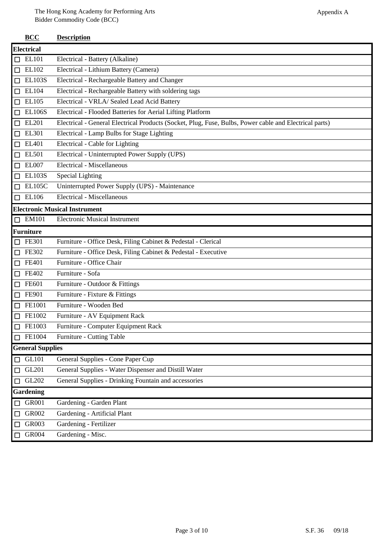|        | <b>BCC</b>              | <b>Description</b>                                                                                     |  |  |  |
|--------|-------------------------|--------------------------------------------------------------------------------------------------------|--|--|--|
|        | <b>Electrical</b>       |                                                                                                        |  |  |  |
| □      | <b>EL101</b>            | Electrical - Battery (Alkaline)                                                                        |  |  |  |
| $\Box$ | EL102                   | Electrical - Lithium Battery (Camera)                                                                  |  |  |  |
| $\Box$ | <b>EL103S</b>           | Electrical - Rechargeable Battery and Changer                                                          |  |  |  |
| $\Box$ | EL104                   | Electrical - Rechargeable Battery with soldering tags                                                  |  |  |  |
| $\Box$ | EL105                   | Electrical - VRLA/ Sealed Lead Acid Battery                                                            |  |  |  |
| $\Box$ | <b>EL106S</b>           | Electrical - Flooded Batteries for Aerial Lifting Platform                                             |  |  |  |
| $\Box$ | EL201                   | Electrical - General Electrical Products (Socket, Plug, Fuse, Bulbs, Power cable and Electrical parts) |  |  |  |
| □      | EL301                   | Electrical - Lamp Bulbs for Stage Lighting                                                             |  |  |  |
| □      | EL401                   | Electrical - Cable for Lighting                                                                        |  |  |  |
| $\Box$ | <b>EL501</b>            | Electrical - Uninterrupted Power Supply (UPS)                                                          |  |  |  |
| □      | <b>EL007</b>            | Electrical - Miscellaneous                                                                             |  |  |  |
| $\Box$ | <b>EL103S</b>           | Special Lighting                                                                                       |  |  |  |
| $\Box$ | <b>EL105C</b>           | Uninterrupted Power Supply (UPS) - Maintenance                                                         |  |  |  |
| $\Box$ | <b>EL106</b>            | Electrical - Miscellaneous                                                                             |  |  |  |
|        |                         | <b>Electronic Musical Instrument</b>                                                                   |  |  |  |
| $\Box$ | <b>EM101</b>            | <b>Electronic Musical Instrument</b>                                                                   |  |  |  |
|        | <b>Furniture</b>        |                                                                                                        |  |  |  |
| □      | <b>FE301</b>            | Furniture - Office Desk, Filing Cabinet & Pedestal - Clerical                                          |  |  |  |
| □      | FE302                   | Furniture - Office Desk, Filing Cabinet & Pedestal - Executive                                         |  |  |  |
| $\Box$ | FE401                   | Furniture - Office Chair                                                                               |  |  |  |
| □      | FE402                   | Furniture - Sofa                                                                                       |  |  |  |
| □      | FE601                   | Furniture - Outdoor & Fittings                                                                         |  |  |  |
| □      | FE901                   | Furniture - Fixture & Fittings                                                                         |  |  |  |
| $\Box$ | FE1001                  | Furniture - Wooden Bed                                                                                 |  |  |  |
| $\Box$ | FE1002                  | Furniture - AV Equipment Rack                                                                          |  |  |  |
| □      | FE1003                  | Furniture - Computer Equipment Rack                                                                    |  |  |  |
| □      | FE1004                  | Furniture - Cutting Table                                                                              |  |  |  |
|        | <b>General Supplies</b> |                                                                                                        |  |  |  |
| □      | <b>GL101</b>            | General Supplies - Cone Paper Cup                                                                      |  |  |  |
| □      | GL201                   | General Supplies - Water Dispenser and Distill Water                                                   |  |  |  |
| □      | GL202                   | General Supplies - Drinking Fountain and accessories                                                   |  |  |  |
|        | <b>Gardening</b>        |                                                                                                        |  |  |  |
| □      | GR001                   | Gardening - Garden Plant                                                                               |  |  |  |
| □      | GR002                   | Gardening - Artificial Plant                                                                           |  |  |  |
| □      | GR003                   | Gardening - Fertilizer                                                                                 |  |  |  |
| $\Box$ | GR004                   | Gardening - Misc.                                                                                      |  |  |  |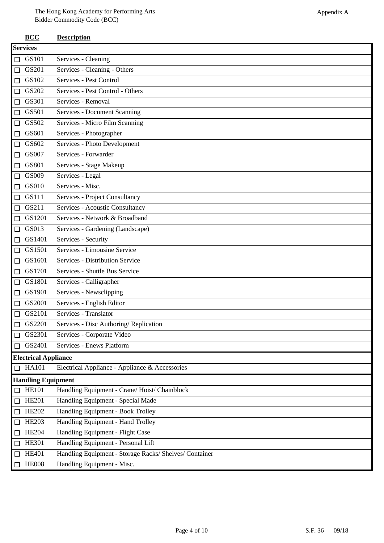|        | $\bf{B} \bf{C} \bf{C}$      | <b>Description</b>                                     |  |  |  |
|--------|-----------------------------|--------------------------------------------------------|--|--|--|
|        | <b>Services</b>             |                                                        |  |  |  |
|        | $\Box$ GS101                | Services - Cleaning                                    |  |  |  |
|        | $\Box$ GS201                | Services - Cleaning - Others                           |  |  |  |
| $\Box$ | GS102                       | Services - Pest Control                                |  |  |  |
|        | $\Box$ GS202                | Services - Pest Control - Others                       |  |  |  |
|        | $\Box$ GS301                | Services - Removal                                     |  |  |  |
| $\Box$ | GS501                       | Services - Document Scanning                           |  |  |  |
| $\Box$ | GS502                       | Services - Micro Film Scanning                         |  |  |  |
|        | $\Box$ GS601                | Services - Photographer                                |  |  |  |
| $\Box$ | GS602                       | Services - Photo Development                           |  |  |  |
| $\Box$ | GS007                       | Services - Forwarder                                   |  |  |  |
| $\Box$ | GS801                       | Services - Stage Makeup                                |  |  |  |
| $\Box$ | GS009                       | Services - Legal                                       |  |  |  |
| $\Box$ | GS010                       | Services - Misc.                                       |  |  |  |
| $\Box$ | GS111                       | Services - Project Consultancy                         |  |  |  |
|        | $\Box$ GS211                | Services - Acoustic Consultancy                        |  |  |  |
|        | $\Box$ GS1201               | Services - Network & Broadband                         |  |  |  |
| $\Box$ | GS013                       | Services - Gardening (Landscape)                       |  |  |  |
|        | $\Box$ GS1401               | Services - Security                                    |  |  |  |
|        | $\Box$ GS1501               | Services - Limousine Service                           |  |  |  |
|        | $\Box$ GS1601               | Services - Distribution Service                        |  |  |  |
| $\Box$ | GS1701                      | Services - Shuttle Bus Service                         |  |  |  |
| $\Box$ | GS1801                      | Services - Calligrapher                                |  |  |  |
| $\Box$ | GS1901                      | Services - Newsclipping                                |  |  |  |
| $\Box$ | GS2001                      | Services - English Editor                              |  |  |  |
| $\Box$ | GS2101                      | Services - Translator                                  |  |  |  |
|        | $\Box$ GS2201               | Services - Disc Authoring/ Replication                 |  |  |  |
|        | $\Box$ GS2301               | Services - Corporate Video                             |  |  |  |
| $\Box$ | GS2401                      | Services - Enews Platform                              |  |  |  |
|        | <b>Electrical Appliance</b> |                                                        |  |  |  |
|        | $\Box$ HA101                | Electrical Appliance - Appliance & Accessories         |  |  |  |
|        | <b>Handling Equipment</b>   |                                                        |  |  |  |
|        | $\Box$ HE101                | Handling Equipment - Crane/ Hoist/ Chainblock          |  |  |  |
|        | $\Box$ HE201                | Handling Equipment - Special Made                      |  |  |  |
|        | $\Box$ HE202                | Handling Equipment - Book Trolley                      |  |  |  |
| $\Box$ | <b>HE203</b>                | Handling Equipment - Hand Trolley                      |  |  |  |
| $\Box$ | <b>HE204</b>                | Handling Equipment - Flight Case                       |  |  |  |
| $\Box$ | <b>HE301</b>                | Handling Equipment - Personal Lift                     |  |  |  |
| $\Box$ | <b>HE401</b>                | Handling Equipment - Storage Racks/ Shelves/ Container |  |  |  |
| $\Box$ | <b>HE008</b>                | Handling Equipment - Misc.                             |  |  |  |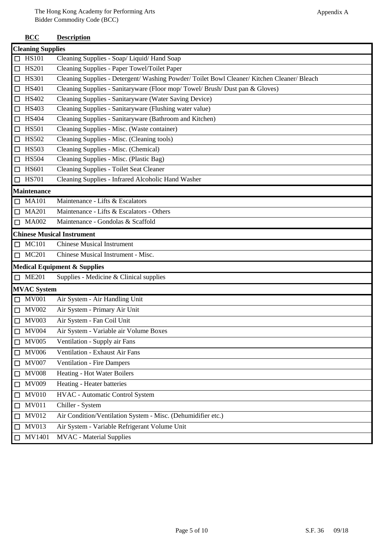|        | <b>Cleaning Supplies</b> |                                                                                             |  |
|--------|--------------------------|---------------------------------------------------------------------------------------------|--|
|        | $\Box$ HS101             | Cleaning Supplies - Soap/ Liquid/ Hand Soap                                                 |  |
|        | $\Box$ HS201             | Cleaning Supplies - Paper Towel/Toilet Paper                                                |  |
|        | $\Box$ HS301             | Cleaning Supplies - Detergent/ Washing Powder/ Toilet Bowl Cleaner/ Kitchen Cleaner/ Bleach |  |
| $\Box$ | <b>HS401</b>             | Cleaning Supplies - Sanitaryware (Floor mop/Towel/Brush/Dust pan & Gloves)                  |  |
|        | $\Box$ HS402             | Cleaning Supplies - Sanitaryware (Water Saving Device)                                      |  |
| $\Box$ | <b>HS403</b>             | Cleaning Supplies - Sanitaryware (Flushing water value)                                     |  |
|        | $\Box$ HS404             | Cleaning Supplies - Sanitaryware (Bathroom and Kitchen)                                     |  |
| $\Box$ | <b>HS501</b>             | Cleaning Supplies - Misc. (Waste container)                                                 |  |
| $\Box$ | <b>HS502</b>             | Cleaning Supplies - Misc. (Cleaning tools)                                                  |  |
|        | $\Box$ HS503             | Cleaning Supplies - Misc. (Chemical)                                                        |  |
| $\Box$ | <b>HS504</b>             | Cleaning Supplies - Misc. (Plastic Bag)                                                     |  |
|        | $\Box$ HS601             | Cleaning Supplies - Toilet Seat Cleaner                                                     |  |
|        | $\Box$ HS701             | Cleaning Supplies - Infrared Alcoholic Hand Washer                                          |  |
|        | <b>Maintenance</b>       |                                                                                             |  |
|        | $\Box$ MA101             | Maintenance - Lifts & Escalators                                                            |  |
|        | $\Box$ MA201             | Maintenance - Lifts & Escalators - Others                                                   |  |
|        | $\Box$ MA002             | Maintenance - Gondolas & Scaffold                                                           |  |
|        |                          | <b>Chinese Musical Instrument</b>                                                           |  |
|        | $\Box$ MC101             | <b>Chinese Musical Instrument</b>                                                           |  |
|        | $\Box$ MC201             | Chinese Musical Instrument - Misc.                                                          |  |
|        |                          | <b>Medical Equipment &amp; Supplies</b>                                                     |  |
|        | $\Box$ ME201             | Supplies - Medicine & Clinical supplies                                                     |  |
|        | <b>MVAC</b> System       |                                                                                             |  |
|        | $\Box$ MV001             | Air System - Air Handling Unit                                                              |  |
|        | $\Box$ MV002             | Air System - Primary Air Unit                                                               |  |
|        | $\Box$ MV003             | Air System - Fan Coil Unit                                                                  |  |
|        | $\Box$ MV004             | Air System - Variable air Volume Boxes                                                      |  |
| $\Box$ | <b>MV005</b>             | Ventilation - Supply air Fans                                                               |  |
| $\Box$ | <b>MV006</b>             | Ventilation - Exhaust Air Fans                                                              |  |
| $\Box$ | <b>MV007</b>             | <b>Ventilation - Fire Dampers</b>                                                           |  |
| $\Box$ | <b>MV008</b>             | Heating - Hot Water Boilers                                                                 |  |
| $\Box$ | <b>MV009</b>             | Heating - Heater batteries                                                                  |  |
| $\Box$ | <b>MV010</b>             | HVAC - Automatic Control System                                                             |  |
| $\Box$ | <b>MV011</b>             | Chiller - System                                                                            |  |
| $\Box$ | <b>MV012</b>             | Air Condition/Ventilation System - Misc. (Dehumidifier etc.)                                |  |
| $\Box$ | <b>MV013</b>             | Air System - Variable Refrigerant Volume Unit                                               |  |
| $\Box$ | MV1401                   | <b>MVAC</b> - Material Supplies                                                             |  |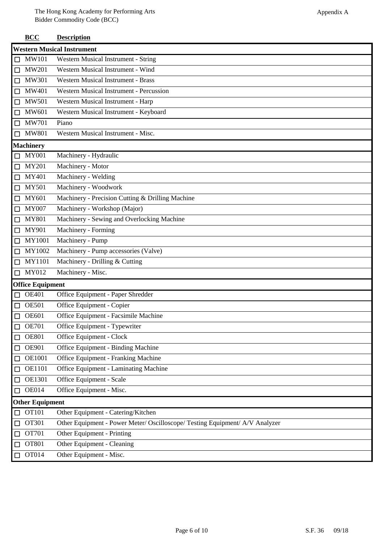|        | <b>BCC</b>                        | <b>Description</b>                                                           |  |  |  |
|--------|-----------------------------------|------------------------------------------------------------------------------|--|--|--|
|        | <b>Western Musical Instrument</b> |                                                                              |  |  |  |
| $\Box$ | <b>MW101</b>                      | Western Musical Instrument - String                                          |  |  |  |
| □      | <b>MW201</b>                      | Western Musical Instrument - Wind                                            |  |  |  |
| $\Box$ | <b>MW301</b>                      | <b>Western Musical Instrument - Brass</b>                                    |  |  |  |
| □      | <b>MW401</b>                      | <b>Western Musical Instrument - Percussion</b>                               |  |  |  |
| $\Box$ | <b>MW501</b>                      | Western Musical Instrument - Harp                                            |  |  |  |
| $\Box$ | MW601                             | Western Musical Instrument - Keyboard                                        |  |  |  |
| $\Box$ | <b>MW701</b>                      | Piano                                                                        |  |  |  |
| $\Box$ | <b>MW801</b>                      | Western Musical Instrument - Misc.                                           |  |  |  |
|        | <b>Machinery</b>                  |                                                                              |  |  |  |
| $\Box$ | <b>MY001</b>                      | Machinery - Hydraulic                                                        |  |  |  |
| $\Box$ | <b>MY201</b>                      | Machinery - Motor                                                            |  |  |  |
| $\Box$ | MY401                             | Machinery - Welding                                                          |  |  |  |
| $\Box$ | <b>MY501</b>                      | Machinery - Woodwork                                                         |  |  |  |
| $\Box$ | MY601                             | Machinery - Precision Cutting & Drilling Machine                             |  |  |  |
| $\Box$ | <b>MY007</b>                      | Machinery - Workshop (Major)                                                 |  |  |  |
| $\Box$ | <b>MY801</b>                      | Machinery - Sewing and Overlocking Machine                                   |  |  |  |
| □      | MY901                             | Machinery - Forming                                                          |  |  |  |
| $\Box$ | MY1001                            | Machinery - Pump                                                             |  |  |  |
| $\Box$ | MY1002                            | Machinery - Pump accessories (Valve)                                         |  |  |  |
| $\Box$ | MY1101                            | Machinery - Drilling & Cutting                                               |  |  |  |
| $\Box$ | MY012                             | Machinery - Misc.                                                            |  |  |  |
|        | <b>Office Equipment</b>           |                                                                              |  |  |  |
| $\Box$ | <b>OE401</b>                      | Office Equipment - Paper Shredder                                            |  |  |  |
| □      | <b>OE501</b>                      | Office Equipment - Copier                                                    |  |  |  |
| $\Box$ | <b>OE601</b>                      | Office Equipment - Facsimile Machine                                         |  |  |  |
|        | <b>OE701</b>                      | Office Equipment - Typewriter                                                |  |  |  |
| $\Box$ | <b>OE801</b>                      | Office Equipment - Clock                                                     |  |  |  |
| $\Box$ | <b>OE901</b>                      | Office Equipment - Binding Machine                                           |  |  |  |
| □      | <b>OE1001</b>                     | <b>Office Equipment - Franking Machine</b>                                   |  |  |  |
| □      | <b>OE1101</b>                     | Office Equipment - Laminating Machine                                        |  |  |  |
| □      | <b>OE1301</b>                     | Office Equipment - Scale                                                     |  |  |  |
| □      | <b>OE014</b>                      | Office Equipment - Misc.                                                     |  |  |  |
|        | <b>Other Equipment</b>            |                                                                              |  |  |  |
| ப      | <b>OT101</b>                      | Other Equipment - Catering/Kitchen                                           |  |  |  |
| □      | OT301                             | Other Equipment - Power Meter/ Oscilloscope/ Testing Equipment/ A/V Analyzer |  |  |  |
| □      | <b>OT701</b>                      | Other Equipment - Printing                                                   |  |  |  |
| $\Box$ | OT801                             | Other Equipment - Cleaning                                                   |  |  |  |
| □      | OT014                             | Other Equipment - Misc.                                                      |  |  |  |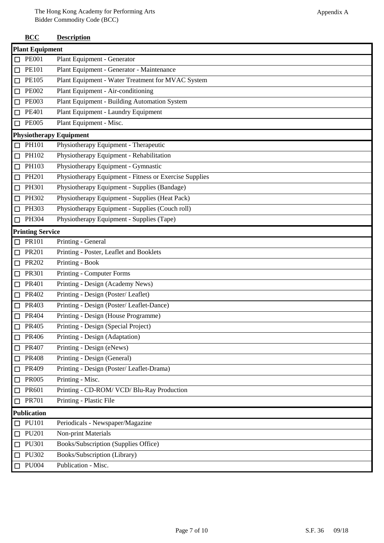## **BCC Description**

|        | <b>Plant Equipment</b>  |                                                        |  |
|--------|-------------------------|--------------------------------------------------------|--|
| $\Box$ | <b>PE001</b>            | Plant Equipment - Generator                            |  |
| □      | <b>PE101</b>            | Plant Equipment - Generator - Maintenance              |  |
| □      | <b>PE105</b>            | Plant Equipment - Water Treatment for MVAC System      |  |
| $\Box$ | <b>PE002</b>            | Plant Equipment - Air-conditioning                     |  |
| $\Box$ | <b>PE003</b>            | Plant Equipment - Building Automation System           |  |
| $\Box$ | <b>PE401</b>            | Plant Equipment - Laundry Equipment                    |  |
| $\Box$ | <b>PE005</b>            | Plant Equipment - Misc.                                |  |
|        |                         | <b>Physiotherapy Equipment</b>                         |  |
| $\Box$ | PH101                   | Physiotherapy Equipment - Therapeutic                  |  |
| $\Box$ | PH102                   | Physiotherapy Equipment - Rehabilitation               |  |
| $\Box$ | PH103                   | Physiotherapy Equipment - Gymnastic                    |  |
| □      | PH201                   | Physiotherapy Equipment - Fitness or Exercise Supplies |  |
| $\Box$ | PH301                   | Physiotherapy Equipment - Supplies (Bandage)           |  |
| □      | PH302                   | Physiotherapy Equipment - Supplies (Heat Pack)         |  |
| $\Box$ | PH303                   | Physiotherapy Equipment - Supplies (Couch roll)        |  |
| $\Box$ | PH304                   | Physiotherapy Equipment - Supplies (Tape)              |  |
|        | <b>Printing Service</b> |                                                        |  |
|        | $\Box$ PR101            | Printing - General                                     |  |
| $\Box$ | PR201                   | Printing - Poster, Leaflet and Booklets                |  |
| □      | <b>PR202</b>            | Printing - Book                                        |  |
| $\Box$ | PR301                   | Printing - Computer Forms                              |  |
| □      | PR401                   | Printing - Design (Academy News)                       |  |
| □      | PR402                   | Printing - Design (Poster/Leaflet)                     |  |
| $\Box$ | PR403                   | Printing - Design (Poster/ Leaflet-Dance)              |  |
| □      | PR404                   | Printing - Design (House Programme)                    |  |
|        | $\Box$ PR405            | Printing - Design (Special Project)                    |  |
| $\Box$ | PR406                   | Printing - Design (Adaptation)                         |  |
| □      | PR407                   | Printing - Design (eNews)                              |  |
| □      | <b>PR408</b>            | Printing - Design (General)                            |  |
| □      | PR409                   | Printing - Design (Poster/ Leaflet-Drama)              |  |
| □      | <b>PR005</b>            | Printing - Misc.                                       |  |
| □      | PR601                   | Printing - CD-ROM/ VCD/ Blu-Ray Production             |  |
| $\Box$ | <b>PR701</b>            | Printing - Plastic File                                |  |
|        | <b>Publication</b>      |                                                        |  |
|        | <b>PU101</b>            | Periodicals - Newspaper/Magazine                       |  |
| □      | <b>PU201</b>            | Non-print Materials                                    |  |
| □      | PU301                   | Books/Subscription (Supplies Office)                   |  |
| $\Box$ | PU302                   | Books/Subscription (Library)                           |  |
| $\Box$ | <b>PU004</b>            | Publication - Misc.                                    |  |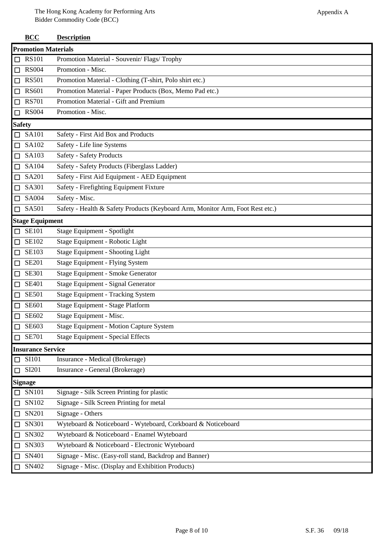|                             | <b>BCC</b>                 | <b>Description</b>                                                            |  |  |
|-----------------------------|----------------------------|-------------------------------------------------------------------------------|--|--|
|                             | <b>Promotion Materials</b> |                                                                               |  |  |
| □                           | <b>RS101</b>               | Promotion Material - Souvenir/ Flags/ Trophy                                  |  |  |
| $\Box$                      | <b>RS004</b>               | Promotion - Misc.                                                             |  |  |
| □                           | <b>RS501</b>               | Promotion Material - Clothing (T-shirt, Polo shirt etc.)                      |  |  |
| $\Box$                      | <b>RS601</b>               | Promotion Material - Paper Products (Box, Memo Pad etc.)                      |  |  |
| П                           | <b>RS701</b>               | Promotion Material - Gift and Premium                                         |  |  |
| П                           | <b>RS004</b>               | Promotion - Misc.                                                             |  |  |
| <b>Safety</b>               |                            |                                                                               |  |  |
|                             | <b>SA101</b>               | Safety - First Aid Box and Products                                           |  |  |
| $\mathbb{Z}$                | SA102                      | Safety - Life line Systems                                                    |  |  |
| П                           | SA103                      | <b>Safety - Safety Products</b>                                               |  |  |
| □                           | SA104                      | Safety - Safety Products (Fiberglass Ladder)                                  |  |  |
| □                           | SA201                      | Safety - First Aid Equipment - AED Equipment                                  |  |  |
| □                           | SA301                      | Safety - Firefighting Equipment Fixture                                       |  |  |
| □                           | SA004                      | Safety - Misc.                                                                |  |  |
| □                           | SA501                      | Safety - Health & Safety Products (Keyboard Arm, Monitor Arm, Foot Rest etc.) |  |  |
|                             | <b>Stage Equipment</b>     |                                                                               |  |  |
| П                           | <b>SE101</b>               | Stage Equipment - Spotlight                                                   |  |  |
| □                           | SE102                      | Stage Equipment - Robotic Light                                               |  |  |
| □                           | <b>SE103</b>               | <b>Stage Equipment - Shooting Light</b>                                       |  |  |
| □                           | <b>SE201</b>               | <b>Stage Equipment - Flying System</b>                                        |  |  |
| □                           | <b>SE301</b>               | Stage Equipment - Smoke Generator                                             |  |  |
| ⊔                           | <b>SE401</b>               | Stage Equipment - Signal Generator                                            |  |  |
|                             | <b>SE501</b>               | <b>Stage Equipment - Tracking System</b>                                      |  |  |
|                             | <b>SE601</b>               | Stage Equipment - Stage Platform                                              |  |  |
| ◻                           | SE602                      | Stage Equipment - Misc.                                                       |  |  |
|                             | SE603                      | <b>Stage Equipment - Motion Capture System</b>                                |  |  |
|                             | <b>SE701</b>               | <b>Stage Equipment - Special Effects</b>                                      |  |  |
|                             | <b>Insurance Service</b>   |                                                                               |  |  |
| ΙI                          | <b>SI101</b>               | Insurance - Medical (Brokerage)                                               |  |  |
| □                           | SI201                      | Insurance - General (Brokerage)                                               |  |  |
|                             | <b>Signage</b>             |                                                                               |  |  |
|                             | SN101                      | Signage - Silk Screen Printing for plastic                                    |  |  |
| П                           | SN102                      | Signage - Silk Screen Printing for metal                                      |  |  |
| $\overline{\phantom{a}}$    | SN201                      | Signage - Others                                                              |  |  |
| $\Box$                      | SN301                      | Wyteboard & Noticeboard - Wyteboard, Corkboard & Noticeboard                  |  |  |
| $\overline{\phantom{a}}$    | SN302                      | Wyteboard & Noticeboard - Enamel Wyteboard                                    |  |  |
|                             | SN303                      | Wyteboard & Noticeboard - Electronic Wyteboard                                |  |  |
| $\overline{\phantom{a}}$    | SN401                      | Signage - Misc. (Easy-roll stand, Backdrop and Banner)                        |  |  |
| $\mathcal{L}_{\mathcal{A}}$ | SN402                      | Signage - Misc. (Display and Exhibition Products)                             |  |  |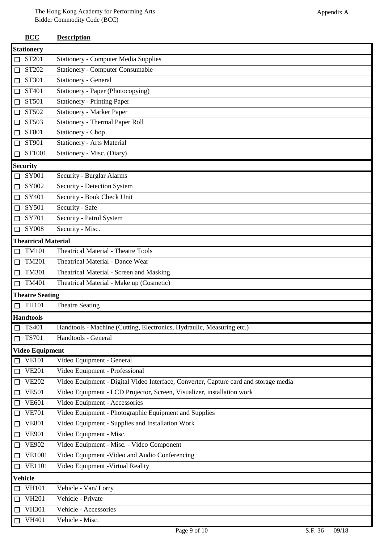|        | <b>BCC</b>                 | <b>Description</b>                                                                   |  |  |  |
|--------|----------------------------|--------------------------------------------------------------------------------------|--|--|--|
|        | <b>Stationery</b>          |                                                                                      |  |  |  |
| $\Box$ | ST201                      | <b>Stationery - Computer Media Supplies</b>                                          |  |  |  |
| $\Box$ | ST202                      | <b>Stationery - Computer Consumable</b>                                              |  |  |  |
| $\Box$ | ST301                      | Stationery - General                                                                 |  |  |  |
| $\Box$ | ST401                      | Stationery - Paper (Photocopying)                                                    |  |  |  |
| $\Box$ | ST501                      | <b>Stationery - Printing Paper</b>                                                   |  |  |  |
| $\Box$ | ST502                      | <b>Stationery - Marker Paper</b>                                                     |  |  |  |
| $\Box$ | ST503                      | <b>Stationery - Thermal Paper Roll</b>                                               |  |  |  |
| $\Box$ | ST801                      | <b>Stationery - Chop</b>                                                             |  |  |  |
| $\Box$ | ST901                      | <b>Stationery - Arts Material</b>                                                    |  |  |  |
| $\Box$ | ST1001                     | Stationery - Misc. (Diary)                                                           |  |  |  |
|        | <b>Security</b>            |                                                                                      |  |  |  |
| □      | SY001                      | <b>Security - Burglar Alarms</b>                                                     |  |  |  |
| $\Box$ | SY002                      | Security - Detection System                                                          |  |  |  |
| $\Box$ | SY401                      | Security - Book Check Unit                                                           |  |  |  |
| $\Box$ | SY501                      | Security - Safe                                                                      |  |  |  |
| $\Box$ | SY701                      | Security - Patrol System                                                             |  |  |  |
| $\Box$ | <b>SY008</b>               | Security - Misc.                                                                     |  |  |  |
|        | <b>Theatrical Material</b> |                                                                                      |  |  |  |
|        | $\Box$ TM101               | <b>Theatrical Material - Theatre Tools</b>                                           |  |  |  |
| $\Box$ | <b>TM201</b>               | <b>Theatrical Material - Dance Wear</b>                                              |  |  |  |
| $\Box$ | <b>TM301</b>               | Theatrical Material - Screen and Masking                                             |  |  |  |
| $\Box$ | <b>TM401</b>               | Theatrical Material - Make up (Cosmetic)                                             |  |  |  |
|        | <b>Theatre Seating</b>     |                                                                                      |  |  |  |
|        | $\Box$ TH101               | <b>Theatre Seating</b>                                                               |  |  |  |
|        | <b>Handtools</b>           |                                                                                      |  |  |  |
|        | $\square$ TS401            | Handtools - Machine (Cutting, Electronics, Hydraulic, Measuring etc.)                |  |  |  |
| $\Box$ | <b>TS701</b>               | Handtools - General                                                                  |  |  |  |
|        | <b>Video Equipment</b>     |                                                                                      |  |  |  |
| $\Box$ | <b>VE101</b>               | Video Equipment - General                                                            |  |  |  |
| $\Box$ | <b>VE201</b>               | Video Equipment - Professional                                                       |  |  |  |
| $\Box$ | <b>VE202</b>               | Video Equipment - Digital Video Interface, Converter, Capture card and storage media |  |  |  |
| $\Box$ | <b>VE501</b>               | Video Equipment - LCD Projector, Screen, Visualizer, installation work               |  |  |  |
| $\Box$ | <b>VE601</b>               | Video Equipment - Accessories                                                        |  |  |  |
| $\Box$ | <b>VE701</b>               | Video Equipment - Photographic Equipment and Supplies                                |  |  |  |
| $\Box$ | <b>VE801</b>               | Video Equipment - Supplies and Installation Work                                     |  |  |  |
| $\Box$ | <b>VE901</b>               | Video Equipment - Misc.                                                              |  |  |  |
| $\Box$ | <b>VE902</b>               | Video Equipment - Misc. - Video Component                                            |  |  |  |
| $\Box$ | <b>VE1001</b>              | Video Equipment - Video and Audio Conferencing                                       |  |  |  |
|        | $\Box$ VE1101              | Video Equipment - Virtual Reality                                                    |  |  |  |
|        | <b>Vehicle</b>             |                                                                                      |  |  |  |
| $\Box$ | <b>VH101</b>               | Vehicle - Van/Lorry                                                                  |  |  |  |
| $\Box$ | <b>VH201</b>               | Vehicle - Private                                                                    |  |  |  |
| $\Box$ | <b>VH301</b>               | Vehicle - Accessories                                                                |  |  |  |
| $\Box$ | <b>VH401</b>               | Vehicle - Misc.                                                                      |  |  |  |